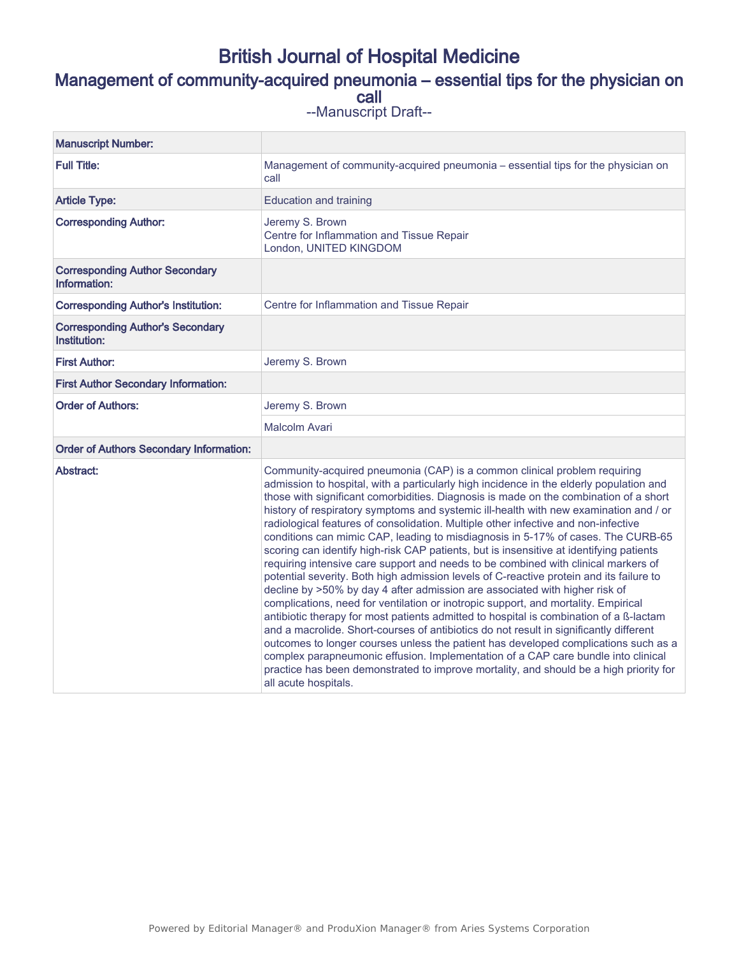## British Journal of Hospital Medicine

## Management of community-acquired pneumonia – essential tips for the physician on call

--Manuscript Draft--

| <b>Manuscript Number:</b>                               |                                                                                                                                                                                                                                                                                                                                                                                                                                                                                                                                                                                                                                                                                                                                                                                                                                                                                                                                                                                                                                                                                                                                                                                                                                                                                                                                                                                                                                                                     |
|---------------------------------------------------------|---------------------------------------------------------------------------------------------------------------------------------------------------------------------------------------------------------------------------------------------------------------------------------------------------------------------------------------------------------------------------------------------------------------------------------------------------------------------------------------------------------------------------------------------------------------------------------------------------------------------------------------------------------------------------------------------------------------------------------------------------------------------------------------------------------------------------------------------------------------------------------------------------------------------------------------------------------------------------------------------------------------------------------------------------------------------------------------------------------------------------------------------------------------------------------------------------------------------------------------------------------------------------------------------------------------------------------------------------------------------------------------------------------------------------------------------------------------------|
| <b>Full Title:</b>                                      | Management of community-acquired pneumonia - essential tips for the physician on<br>call                                                                                                                                                                                                                                                                                                                                                                                                                                                                                                                                                                                                                                                                                                                                                                                                                                                                                                                                                                                                                                                                                                                                                                                                                                                                                                                                                                            |
| <b>Article Type:</b>                                    | <b>Education and training</b>                                                                                                                                                                                                                                                                                                                                                                                                                                                                                                                                                                                                                                                                                                                                                                                                                                                                                                                                                                                                                                                                                                                                                                                                                                                                                                                                                                                                                                       |
| <b>Corresponding Author:</b>                            | Jeremy S. Brown<br>Centre for Inflammation and Tissue Repair<br>London, UNITED KINGDOM                                                                                                                                                                                                                                                                                                                                                                                                                                                                                                                                                                                                                                                                                                                                                                                                                                                                                                                                                                                                                                                                                                                                                                                                                                                                                                                                                                              |
| <b>Corresponding Author Secondary</b><br>Information:   |                                                                                                                                                                                                                                                                                                                                                                                                                                                                                                                                                                                                                                                                                                                                                                                                                                                                                                                                                                                                                                                                                                                                                                                                                                                                                                                                                                                                                                                                     |
| <b>Corresponding Author's Institution:</b>              | Centre for Inflammation and Tissue Repair                                                                                                                                                                                                                                                                                                                                                                                                                                                                                                                                                                                                                                                                                                                                                                                                                                                                                                                                                                                                                                                                                                                                                                                                                                                                                                                                                                                                                           |
| <b>Corresponding Author's Secondary</b><br>Institution: |                                                                                                                                                                                                                                                                                                                                                                                                                                                                                                                                                                                                                                                                                                                                                                                                                                                                                                                                                                                                                                                                                                                                                                                                                                                                                                                                                                                                                                                                     |
| <b>First Author:</b>                                    | Jeremy S. Brown                                                                                                                                                                                                                                                                                                                                                                                                                                                                                                                                                                                                                                                                                                                                                                                                                                                                                                                                                                                                                                                                                                                                                                                                                                                                                                                                                                                                                                                     |
| <b>First Author Secondary Information:</b>              |                                                                                                                                                                                                                                                                                                                                                                                                                                                                                                                                                                                                                                                                                                                                                                                                                                                                                                                                                                                                                                                                                                                                                                                                                                                                                                                                                                                                                                                                     |
| <b>Order of Authors:</b>                                | Jeremy S. Brown                                                                                                                                                                                                                                                                                                                                                                                                                                                                                                                                                                                                                                                                                                                                                                                                                                                                                                                                                                                                                                                                                                                                                                                                                                                                                                                                                                                                                                                     |
|                                                         | Malcolm Avari                                                                                                                                                                                                                                                                                                                                                                                                                                                                                                                                                                                                                                                                                                                                                                                                                                                                                                                                                                                                                                                                                                                                                                                                                                                                                                                                                                                                                                                       |
| <b>Order of Authors Secondary Information:</b>          |                                                                                                                                                                                                                                                                                                                                                                                                                                                                                                                                                                                                                                                                                                                                                                                                                                                                                                                                                                                                                                                                                                                                                                                                                                                                                                                                                                                                                                                                     |
| Abstract:                                               | Community-acquired pneumonia (CAP) is a common clinical problem requiring<br>admission to hospital, with a particularly high incidence in the elderly population and<br>those with significant comorbidities. Diagnosis is made on the combination of a short<br>history of respiratory symptoms and systemic ill-health with new examination and / or<br>radiological features of consolidation. Multiple other infective and non-infective<br>conditions can mimic CAP, leading to misdiagnosis in 5-17% of cases. The CURB-65<br>scoring can identify high-risk CAP patients, but is insensitive at identifying patients<br>requiring intensive care support and needs to be combined with clinical markers of<br>potential severity. Both high admission levels of C-reactive protein and its failure to<br>decline by >50% by day 4 after admission are associated with higher risk of<br>complications, need for ventilation or inotropic support, and mortality. Empirical<br>antibiotic therapy for most patients admitted to hospital is combination of a ß-lactam<br>and a macrolide. Short-courses of antibiotics do not result in significantly different<br>outcomes to longer courses unless the patient has developed complications such as a<br>complex parapneumonic effusion. Implementation of a CAP care bundle into clinical<br>practice has been demonstrated to improve mortality, and should be a high priority for<br>all acute hospitals. |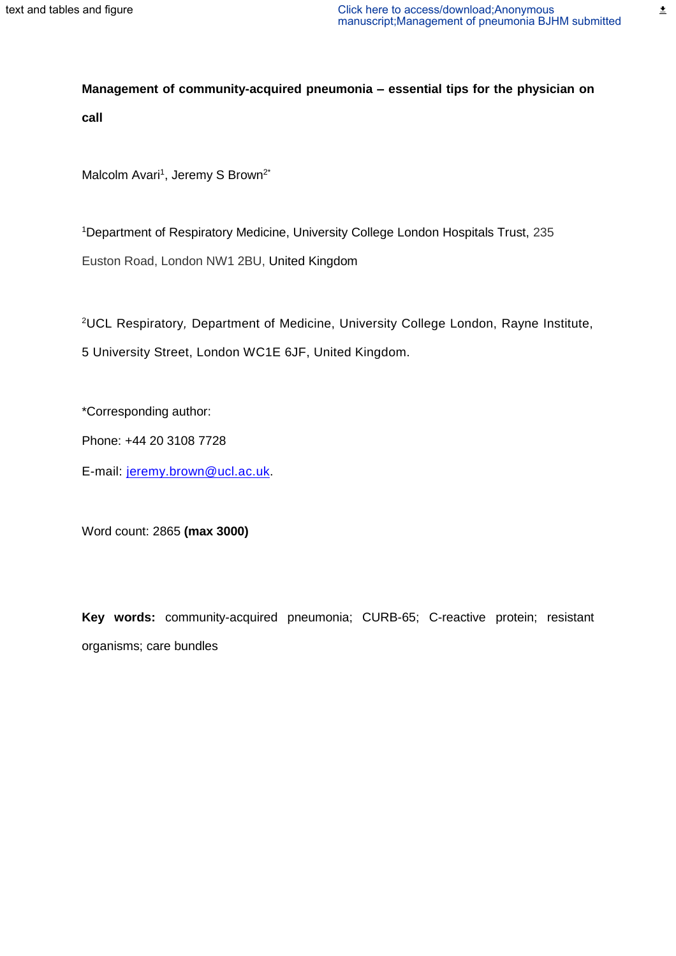$\overline{\underline{\bullet}}$ 

**Management of community-acquired pneumonia – essential tips for the physician on call**

Malcolm Avari<sup>1</sup>, Jeremy S Brown<sup>2\*</sup>

<sup>1</sup>Department of Respiratory Medicine, University College London Hospitals Trust, 235 Euston Road, London NW1 2BU, United Kingdom

<sup>2</sup>UCL Respiratory*,* Department of Medicine, University College London, Rayne Institute, 5 University Street, London WC1E 6JF, United Kingdom.

\*Corresponding author:

Phone: +44 20 3108 7728

E-mail: [jeremy.brown@ucl.ac.uk.](mailto:jeremy.brown@ucl.ac.uk)

Word count: 2865 **(max 3000)**

**Key words:** community-acquired pneumonia; CURB-65; C-reactive protein; resistant organisms; care bundles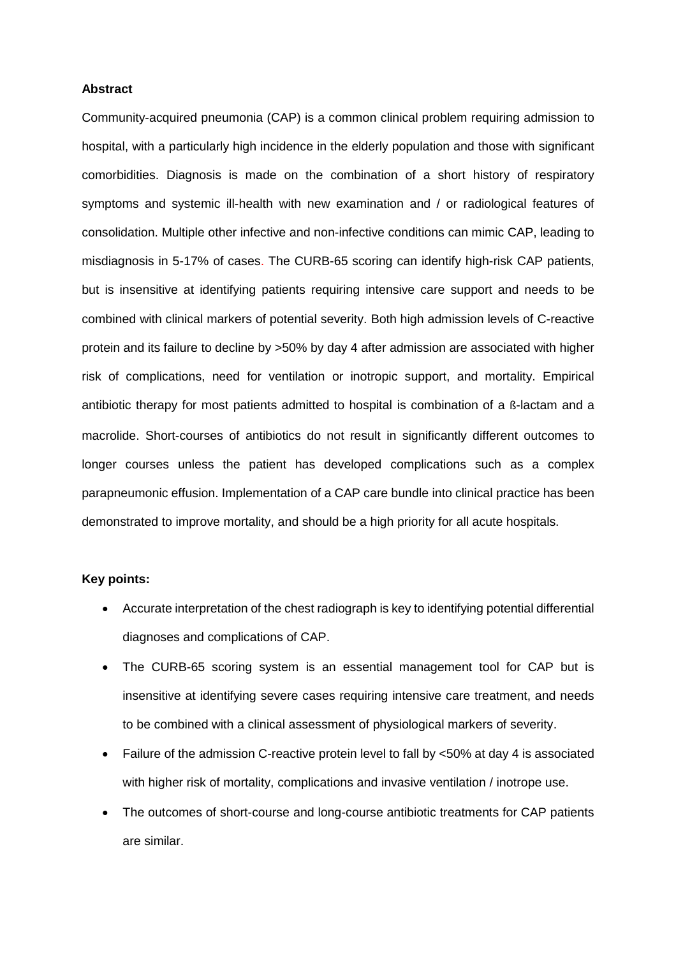#### **Abstract**

Community-acquired pneumonia (CAP) is a common clinical problem requiring admission to hospital, with a particularly high incidence in the elderly population and those with significant comorbidities. Diagnosis is made on the combination of a short history of respiratory symptoms and systemic ill-health with new examination and / or radiological features of consolidation. Multiple other infective and non-infective conditions can mimic CAP, leading to misdiagnosis in 5-17% of cases. The CURB-65 scoring can identify high-risk CAP patients, but is insensitive at identifying patients requiring intensive care support and needs to be combined with clinical markers of potential severity. Both high admission levels of C-reactive protein and its failure to decline by >50% by day 4 after admission are associated with higher risk of complications, need for ventilation or inotropic support, and mortality. Empirical antibiotic therapy for most patients admitted to hospital is combination of a ß-lactam and a macrolide. Short-courses of antibiotics do not result in significantly different outcomes to longer courses unless the patient has developed complications such as a complex parapneumonic effusion. Implementation of a CAP care bundle into clinical practice has been demonstrated to improve mortality, and should be a high priority for all acute hospitals.

#### **Key points:**

- Accurate interpretation of the chest radiograph is key to identifying potential differential diagnoses and complications of CAP.
- The CURB-65 scoring system is an essential management tool for CAP but is insensitive at identifying severe cases requiring intensive care treatment, and needs to be combined with a clinical assessment of physiological markers of severity.
- Failure of the admission C-reactive protein level to fall by <50% at day 4 is associated with higher risk of mortality, complications and invasive ventilation / inotrope use.
- The outcomes of short-course and long-course antibiotic treatments for CAP patients are similar.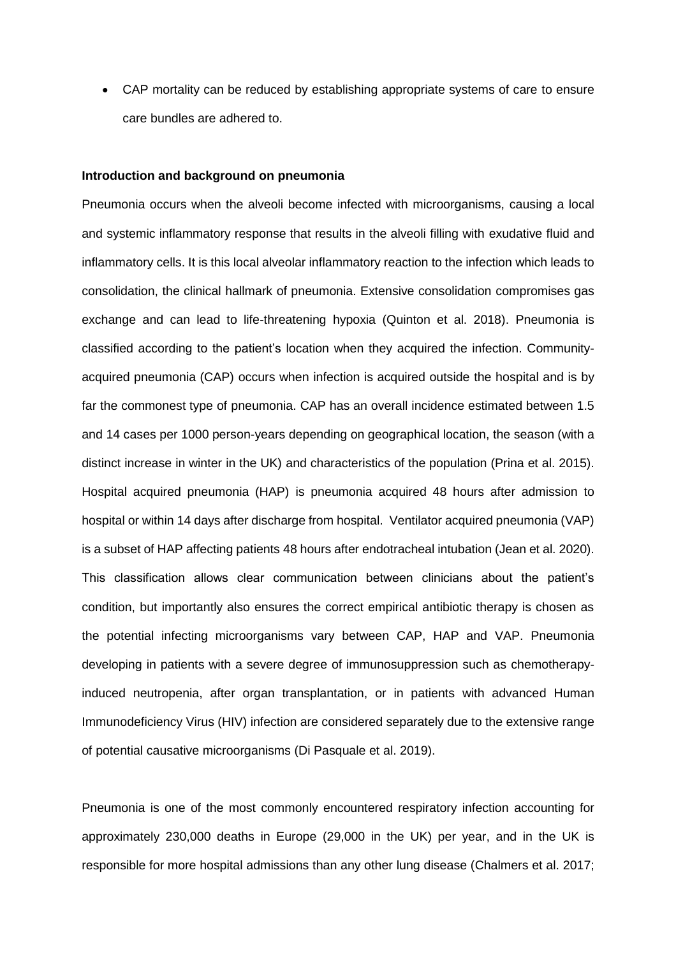CAP mortality can be reduced by establishing appropriate systems of care to ensure care bundles are adhered to.

#### **Introduction and background on pneumonia**

Pneumonia occurs when the alveoli become infected with microorganisms, causing a local and systemic inflammatory response that results in the alveoli filling with exudative fluid and inflammatory cells. It is this local alveolar inflammatory reaction to the infection which leads to consolidation, the clinical hallmark of pneumonia. Extensive consolidation compromises gas exchange and can lead to life-threatening hypoxia (Quinton et al. 2018). Pneumonia is classified according to the patient's location when they acquired the infection. Communityacquired pneumonia (CAP) occurs when infection is acquired outside the hospital and is by far the commonest type of pneumonia. CAP has an overall incidence estimated between 1.5 and 14 cases per 1000 person-years depending on geographical location, the season (with a distinct increase in winter in the UK) and characteristics of the population (Prina et al. 2015). Hospital acquired pneumonia (HAP) is pneumonia acquired 48 hours after admission to hospital or within 14 days after discharge from hospital. Ventilator acquired pneumonia (VAP) is a subset of HAP affecting patients 48 hours after endotracheal intubation (Jean et al. 2020). This classification allows clear communication between clinicians about the patient's condition, but importantly also ensures the correct empirical antibiotic therapy is chosen as the potential infecting microorganisms vary between CAP, HAP and VAP. Pneumonia developing in patients with a severe degree of immunosuppression such as chemotherapyinduced neutropenia, after organ transplantation, or in patients with advanced Human Immunodeficiency Virus (HIV) infection are considered separately due to the extensive range of potential causative microorganisms (Di Pasquale et al. 2019).

Pneumonia is one of the most commonly encountered respiratory infection accounting for approximately 230,000 deaths in Europe (29,000 in the UK) per year, and in the UK is responsible for more hospital admissions than any other lung disease (Chalmers et al. 2017;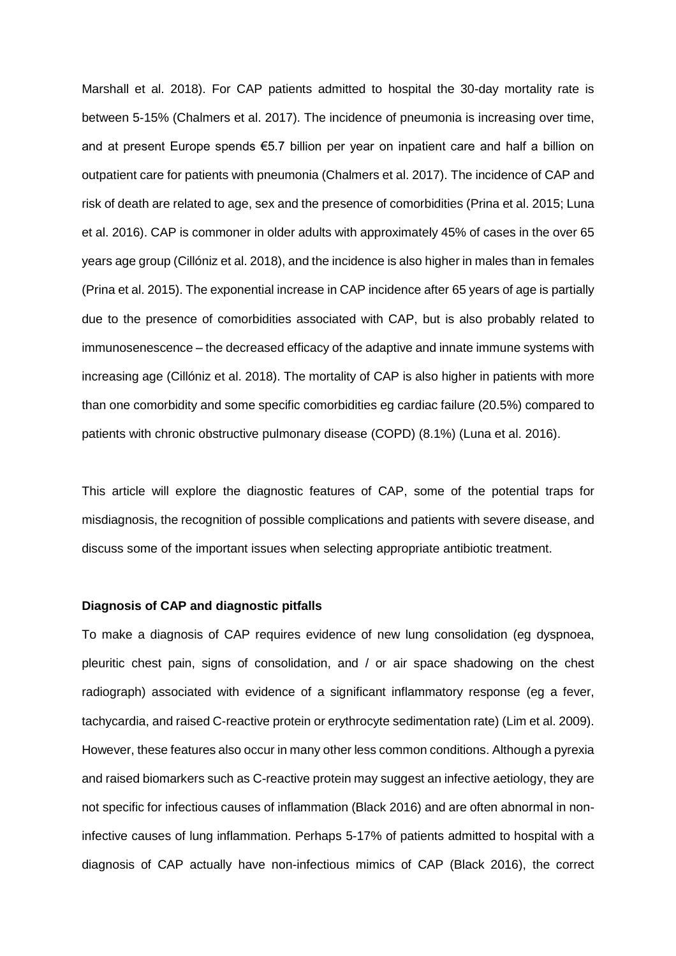Marshall et al. 2018). For CAP patients admitted to hospital the 30-day mortality rate is between 5-15% (Chalmers et al. 2017). The incidence of pneumonia is increasing over time, and at present Europe spends €5.7 billion per year on inpatient care and half a billion on outpatient care for patients with pneumonia (Chalmers et al. 2017). The incidence of CAP and risk of death are related to age, sex and the presence of comorbidities (Prina et al. 2015; Luna et al. 2016). CAP is commoner in older adults with approximately 45% of cases in the over 65 years age group (Cillóniz et al. 2018), and the incidence is also higher in males than in females (Prina et al. 2015). The exponential increase in CAP incidence after 65 years of age is partially due to the presence of comorbidities associated with CAP, but is also probably related to immunosenescence – the decreased efficacy of the adaptive and innate immune systems with increasing age (Cillóniz et al. 2018). The mortality of CAP is also higher in patients with more than one comorbidity and some specific comorbidities eg cardiac failure (20.5%) compared to patients with chronic obstructive pulmonary disease (COPD) (8.1%) (Luna et al. 2016).

This article will explore the diagnostic features of CAP, some of the potential traps for misdiagnosis, the recognition of possible complications and patients with severe disease, and discuss some of the important issues when selecting appropriate antibiotic treatment.

#### **Diagnosis of CAP and diagnostic pitfalls**

To make a diagnosis of CAP requires evidence of new lung consolidation (eg dyspnoea, pleuritic chest pain, signs of consolidation, and / or air space shadowing on the chest radiograph) associated with evidence of a significant inflammatory response (eg a fever, tachycardia, and raised C-reactive protein or erythrocyte sedimentation rate) (Lim et al. 2009). However, these features also occur in many other less common conditions. Although a pyrexia and raised biomarkers such as C-reactive protein may suggest an infective aetiology, they are not specific for infectious causes of inflammation (Black 2016) and are often abnormal in noninfective causes of lung inflammation. Perhaps 5-17% of patients admitted to hospital with a diagnosis of CAP actually have non-infectious mimics of CAP (Black 2016), the correct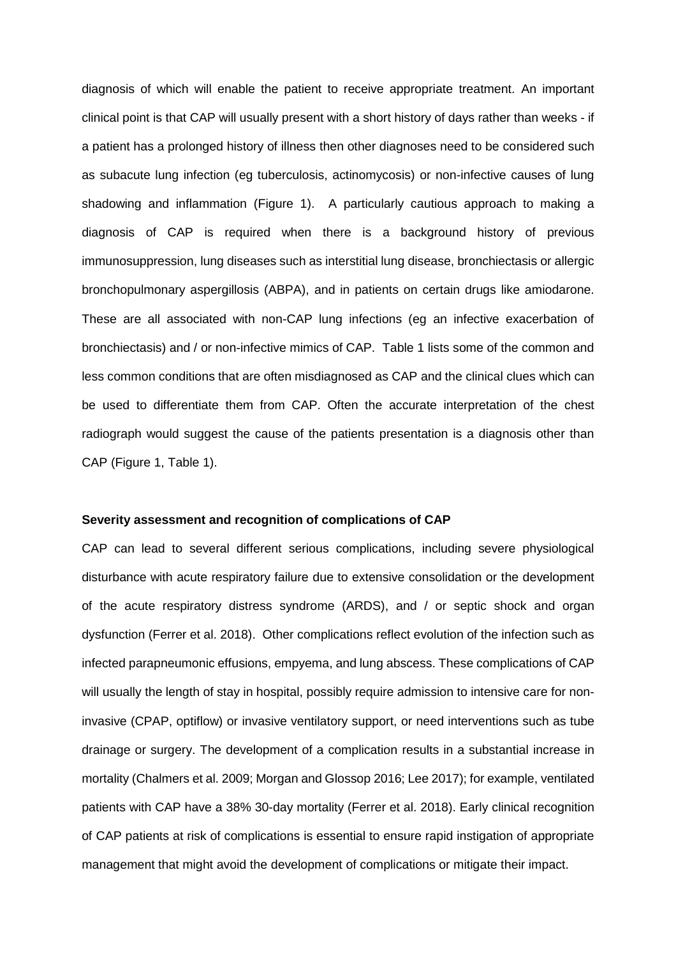diagnosis of which will enable the patient to receive appropriate treatment. An important clinical point is that CAP will usually present with a short history of days rather than weeks - if a patient has a prolonged history of illness then other diagnoses need to be considered such as subacute lung infection (eg tuberculosis, actinomycosis) or non-infective causes of lung shadowing and inflammation (Figure 1). A particularly cautious approach to making a diagnosis of CAP is required when there is a background history of previous immunosuppression, lung diseases such as interstitial lung disease, bronchiectasis or allergic bronchopulmonary aspergillosis (ABPA), and in patients on certain drugs like amiodarone. These are all associated with non-CAP lung infections (eg an infective exacerbation of bronchiectasis) and / or non-infective mimics of CAP. Table 1 lists some of the common and less common conditions that are often misdiagnosed as CAP and the clinical clues which can be used to differentiate them from CAP. Often the accurate interpretation of the chest radiograph would suggest the cause of the patients presentation is a diagnosis other than CAP (Figure 1, Table 1).

#### **Severity assessment and recognition of complications of CAP**

CAP can lead to several different serious complications, including severe physiological disturbance with acute respiratory failure due to extensive consolidation or the development of the acute respiratory distress syndrome (ARDS), and / or septic shock and organ dysfunction (Ferrer et al. 2018). Other complications reflect evolution of the infection such as infected parapneumonic effusions, empyema, and lung abscess. These complications of CAP will usually the length of stay in hospital, possibly require admission to intensive care for noninvasive (CPAP, optiflow) or invasive ventilatory support, or need interventions such as tube drainage or surgery. The development of a complication results in a substantial increase in mortality (Chalmers et al. 2009; Morgan and Glossop 2016; Lee 2017); for example, ventilated patients with CAP have a 38% 30-day mortality (Ferrer et al. 2018). Early clinical recognition of CAP patients at risk of complications is essential to ensure rapid instigation of appropriate management that might avoid the development of complications or mitigate their impact.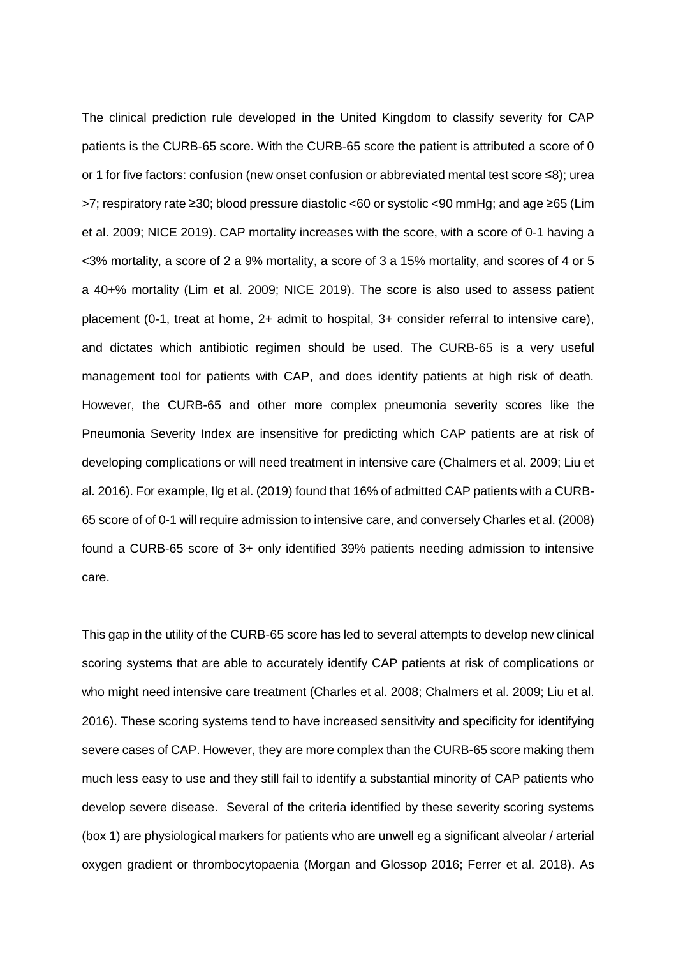The clinical prediction rule developed in the United Kingdom to classify severity for CAP patients is the CURB-65 score. With the CURB-65 score the patient is attributed a score of 0 or 1 for five factors: confusion (new onset confusion or abbreviated mental test score ≤8); urea >7; respiratory rate ≥30; blood pressure diastolic <60 or systolic <90 mmHg; and age ≥65 (Lim et al. 2009; NICE 2019). CAP mortality increases with the score, with a score of 0-1 having a <3% mortality, a score of 2 a 9% mortality, a score of 3 a 15% mortality, and scores of 4 or 5 a 40+% mortality (Lim et al. 2009; NICE 2019). The score is also used to assess patient placement (0-1, treat at home, 2+ admit to hospital, 3+ consider referral to intensive care), and dictates which antibiotic regimen should be used. The CURB-65 is a very useful management tool for patients with CAP, and does identify patients at high risk of death. However, the CURB-65 and other more complex pneumonia severity scores like the Pneumonia Severity Index are insensitive for predicting which CAP patients are at risk of developing complications or will need treatment in intensive care (Chalmers et al. 2009; Liu et al. 2016). For example, Ilg et al. (2019) found that 16% of admitted CAP patients with a CURB-65 score of of 0-1 will require admission to intensive care, and conversely Charles et al. (2008) found a CURB-65 score of 3+ only identified 39% patients needing admission to intensive care.

This gap in the utility of the CURB-65 score has led to several attempts to develop new clinical scoring systems that are able to accurately identify CAP patients at risk of complications or who might need intensive care treatment (Charles et al. 2008; Chalmers et al. 2009; Liu et al. 2016). These scoring systems tend to have increased sensitivity and specificity for identifying severe cases of CAP. However, they are more complex than the CURB-65 score making them much less easy to use and they still fail to identify a substantial minority of CAP patients who develop severe disease. Several of the criteria identified by these severity scoring systems (box 1) are physiological markers for patients who are unwell eg a significant alveolar / arterial oxygen gradient or thrombocytopaenia (Morgan and Glossop 2016; Ferrer et al. 2018). As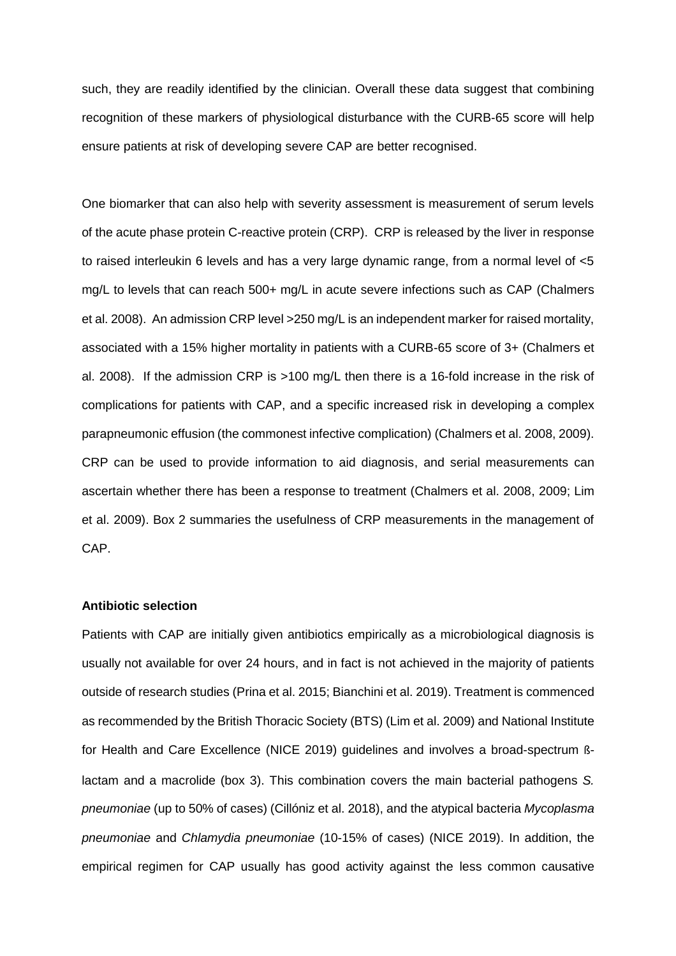such, they are readily identified by the clinician. Overall these data suggest that combining recognition of these markers of physiological disturbance with the CURB-65 score will help ensure patients at risk of developing severe CAP are better recognised.

One biomarker that can also help with severity assessment is measurement of serum levels of the acute phase protein C-reactive protein (CRP). CRP is released by the liver in response to raised interleukin 6 levels and has a very large dynamic range, from a normal level of <5 mg/L to levels that can reach 500+ mg/L in acute severe infections such as CAP (Chalmers et al. 2008). An admission CRP level >250 mg/L is an independent marker for raised mortality, associated with a 15% higher mortality in patients with a CURB-65 score of 3+ (Chalmers et al. 2008). If the admission CRP is >100 mg/L then there is a 16-fold increase in the risk of complications for patients with CAP, and a specific increased risk in developing a complex parapneumonic effusion (the commonest infective complication) (Chalmers et al. 2008, 2009). CRP can be used to provide information to aid diagnosis, and serial measurements can ascertain whether there has been a response to treatment (Chalmers et al. 2008, 2009; Lim et al. 2009). Box 2 summaries the usefulness of CRP measurements in the management of CAP.

#### **Antibiotic selection**

Patients with CAP are initially given antibiotics empirically as a microbiological diagnosis is usually not available for over 24 hours, and in fact is not achieved in the majority of patients outside of research studies (Prina et al. 2015; Bianchini et al. 2019). Treatment is commenced as recommended by the British Thoracic Society (BTS) (Lim et al. 2009) and National Institute for Health and Care Excellence (NICE 2019) guidelines and involves a broad-spectrum ßlactam and a macrolide (box 3). This combination covers the main bacterial pathogens *S. pneumoniae* (up to 50% of cases) (Cillóniz et al. 2018), and the atypical bacteria *Mycoplasma pneumoniae* and *Chlamydia pneumoniae* (10-15% of cases) (NICE 2019). In addition, the empirical regimen for CAP usually has good activity against the less common causative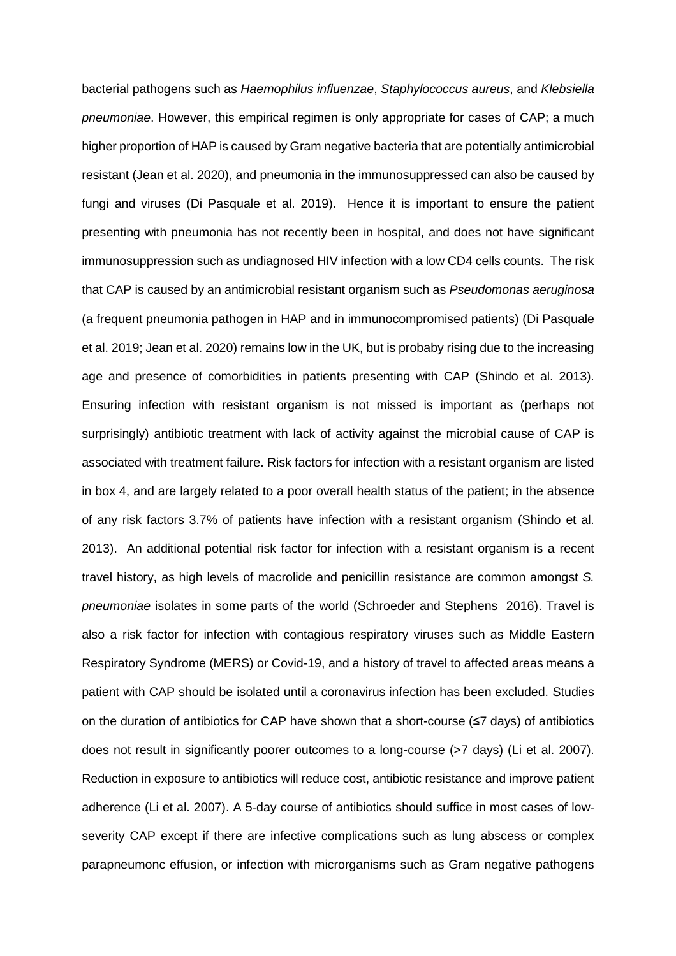bacterial pathogens such as *Haemophilus influenzae*, *Staphylococcus aureus*, and *Klebsiella pneumoniae*. However, this empirical regimen is only appropriate for cases of CAP; a much higher proportion of HAP is caused by Gram negative bacteria that are potentially antimicrobial resistant (Jean et al. 2020), and pneumonia in the immunosuppressed can also be caused by fungi and viruses (Di Pasquale et al. 2019). Hence it is important to ensure the patient presenting with pneumonia has not recently been in hospital, and does not have significant immunosuppression such as undiagnosed HIV infection with a low CD4 cells counts. The risk that CAP is caused by an antimicrobial resistant organism such as *Pseudomonas aeruginosa* (a frequent pneumonia pathogen in HAP and in immunocompromised patients) (Di Pasquale et al. 2019; Jean et al. 2020) remains low in the UK, but is probaby rising due to the increasing age and presence of comorbidities in patients presenting with CAP (Shindo et al. 2013). Ensuring infection with resistant organism is not missed is important as (perhaps not surprisingly) antibiotic treatment with lack of activity against the microbial cause of CAP is associated with treatment failure. Risk factors for infection with a resistant organism are listed in box 4, and are largely related to a poor overall health status of the patient; in the absence of any risk factors 3.7% of patients have infection with a resistant organism (Shindo et al. 2013). An additional potential risk factor for infection with a resistant organism is a recent travel history, as high levels of macrolide and penicillin resistance are common amongst *S. pneumoniae* isolates in some parts of the world (Schroeder and Stephens 2016). Travel is also a risk factor for infection with contagious respiratory viruses such as Middle Eastern Respiratory Syndrome (MERS) or Covid-19, and a history of travel to affected areas means a patient with CAP should be isolated until a coronavirus infection has been excluded. Studies on the duration of antibiotics for CAP have shown that a short-course (≤7 days) of antibiotics does not result in significantly poorer outcomes to a long-course (>7 days) (Li et al. 2007). Reduction in exposure to antibiotics will reduce cost, antibiotic resistance and improve patient adherence (Li et al. 2007). A 5-day course of antibiotics should suffice in most cases of lowseverity CAP except if there are infective complications such as lung abscess or complex parapneumonc effusion, or infection with microrganisms such as Gram negative pathogens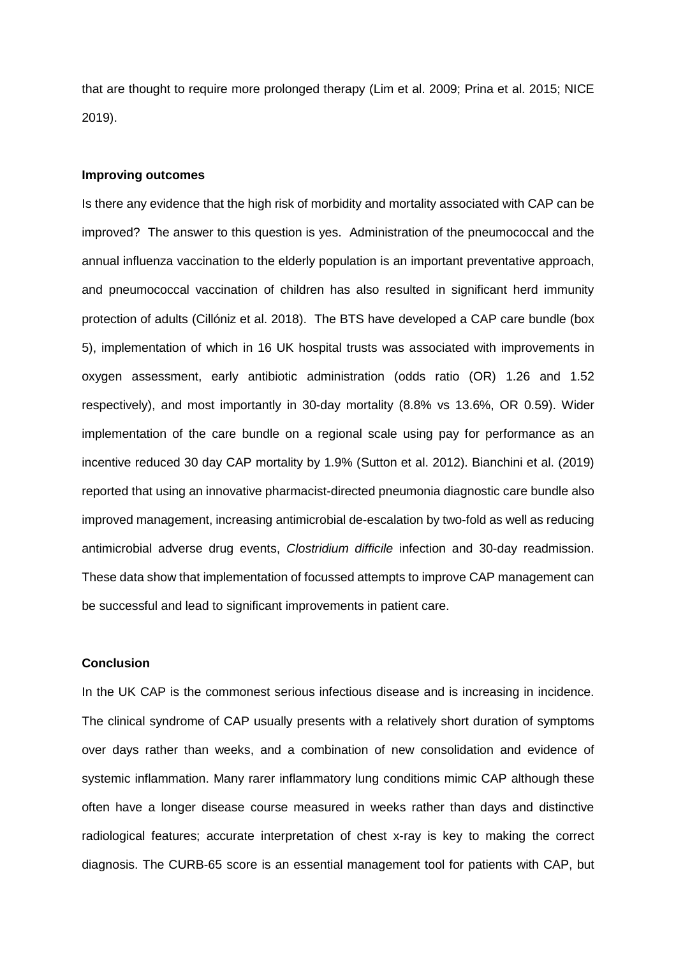that are thought to require more prolonged therapy (Lim et al. 2009; Prina et al. 2015; NICE 2019).

#### **Improving outcomes**

Is there any evidence that the high risk of morbidity and mortality associated with CAP can be improved? The answer to this question is yes. Administration of the pneumococcal and the annual influenza vaccination to the elderly population is an important preventative approach, and pneumococcal vaccination of children has also resulted in significant herd immunity protection of adults (Cillóniz et al. 2018). The BTS have developed a CAP care bundle (box 5), implementation of which in 16 UK hospital trusts was associated with improvements in oxygen assessment, early antibiotic administration (odds ratio (OR) 1.26 and 1.52 respectively), and most importantly in 30-day mortality (8.8% vs 13.6%, OR 0.59). Wider implementation of the care bundle on a regional scale using pay for performance as an incentive reduced 30 day CAP mortality by 1.9% (Sutton et al. 2012). Bianchini et al. (2019) reported that using an innovative pharmacist-directed pneumonia diagnostic care bundle also improved management, increasing antimicrobial de-escalation by two-fold as well as reducing antimicrobial adverse drug events, *Clostridium difficile* infection and 30-day readmission. These data show that implementation of focussed attempts to improve CAP management can be successful and lead to significant improvements in patient care.

#### **Conclusion**

In the UK CAP is the commonest serious infectious disease and is increasing in incidence. The clinical syndrome of CAP usually presents with a relatively short duration of symptoms over days rather than weeks, and a combination of new consolidation and evidence of systemic inflammation. Many rarer inflammatory lung conditions mimic CAP although these often have a longer disease course measured in weeks rather than days and distinctive radiological features; accurate interpretation of chest x-ray is key to making the correct diagnosis. The CURB-65 score is an essential management tool for patients with CAP, but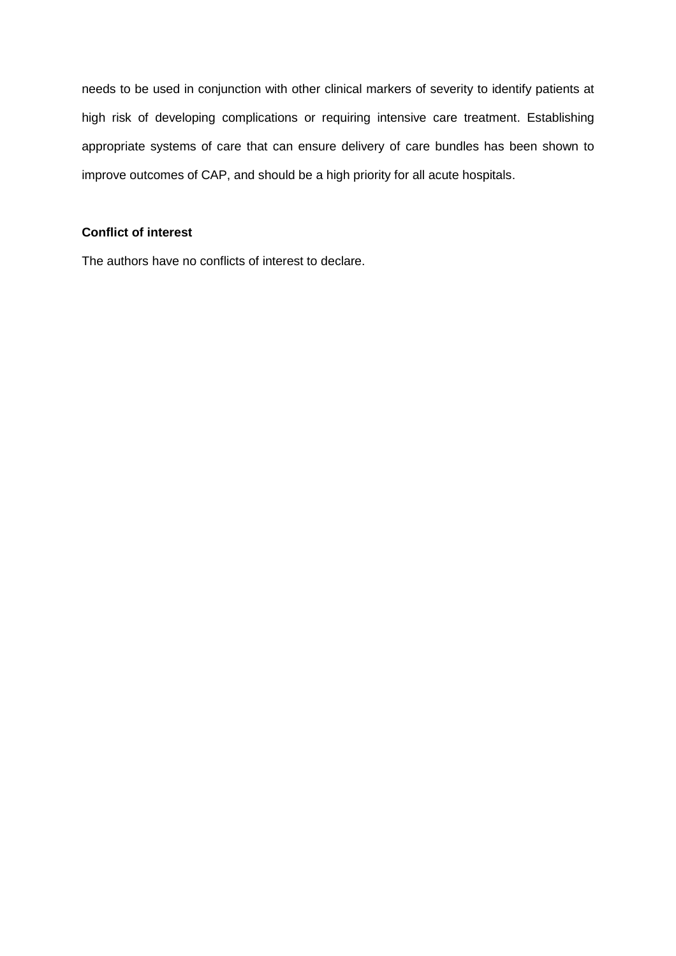needs to be used in conjunction with other clinical markers of severity to identify patients at high risk of developing complications or requiring intensive care treatment. Establishing appropriate systems of care that can ensure delivery of care bundles has been shown to improve outcomes of CAP, and should be a high priority for all acute hospitals.

## **Conflict of interest**

The authors have no conflicts of interest to declare.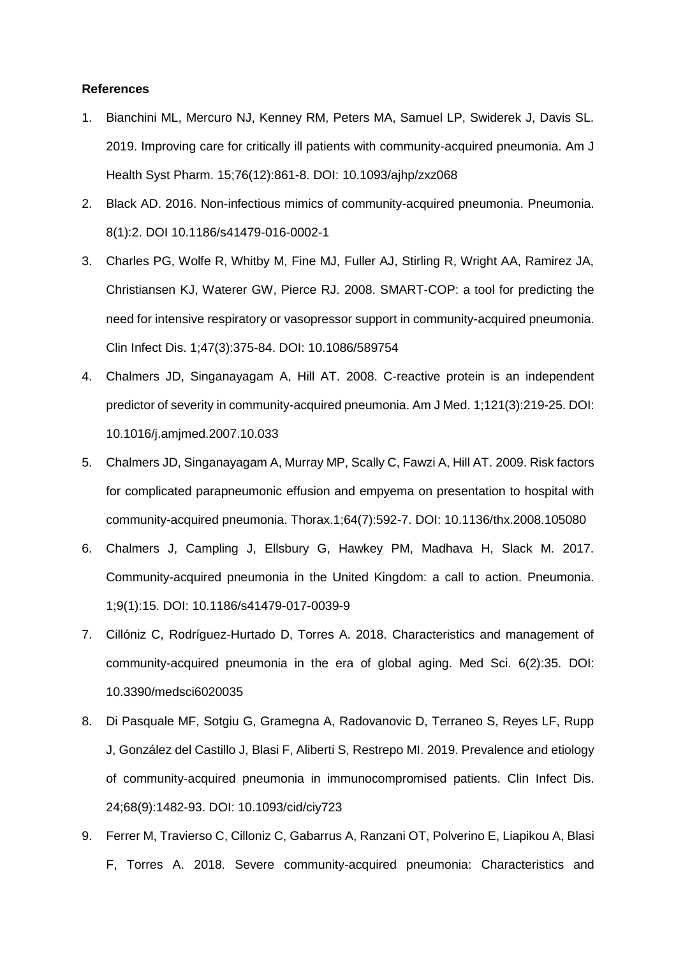#### **References**

- 1. Bianchini ML, Mercuro NJ, Kenney RM, Peters MA, Samuel LP, Swiderek J, Davis SL. 2019. Improving care for critically ill patients with community-acquired pneumonia. Am J Health Syst Pharm. 15;76(12):861-8. DOI: 10.1093/ajhp/zxz068
- 2. Black AD. 2016. Non-infectious mimics of community-acquired pneumonia. Pneumonia. 8(1):2. DOI 10.1186/s41479-016-0002-1
- 3. Charles PG, Wolfe R, Whitby M, Fine MJ, Fuller AJ, Stirling R, Wright AA, Ramirez JA, Christiansen KJ, Waterer GW, Pierce RJ. 2008. SMART-COP: a tool for predicting the need for intensive respiratory or vasopressor support in community-acquired pneumonia. Clin Infect Dis. 1;47(3):375-84. DOI: 10.1086/589754
- 4. Chalmers JD, Singanayagam A, Hill AT. 2008. C-reactive protein is an independent predictor of severity in community-acquired pneumonia. Am J Med. 1;121(3):219-25. DOI: 10.1016/j.amjmed.2007.10.033
- 5. Chalmers JD, Singanayagam A, Murray MP, Scally C, Fawzi A, Hill AT. 2009. Risk factors for complicated parapneumonic effusion and empyema on presentation to hospital with community-acquired pneumonia. Thorax.1;64(7):592-7. DOI: 10.1136/thx.2008.105080
- 6. Chalmers J, Campling J, Ellsbury G, Hawkey PM, Madhava H, Slack M. 2017. Community-acquired pneumonia in the United Kingdom: a call to action. Pneumonia. 1;9(1):15. DOI: 10.1186/s41479-017-0039-9
- 7. Cillóniz C, Rodríguez-Hurtado D, Torres A. 2018. Characteristics and management of community-acquired pneumonia in the era of global aging. Med Sci. 6(2):35. DOI: 10.3390/medsci6020035
- 8. Di Pasquale MF, Sotgiu G, Gramegna A, Radovanovic D, Terraneo S, Reyes LF, Rupp J, González del Castillo J, Blasi F, Aliberti S, Restrepo MI. 2019. Prevalence and etiology of community-acquired pneumonia in immunocompromised patients. Clin Infect Dis. 24;68(9):1482-93. DOI: 10.1093/cid/ciy723
- 9. Ferrer M, Travierso C, Cilloniz C, Gabarrus A, Ranzani OT, Polverino E, Liapikou A, Blasi F, Torres A. 2018. Severe community-acquired pneumonia: Characteristics and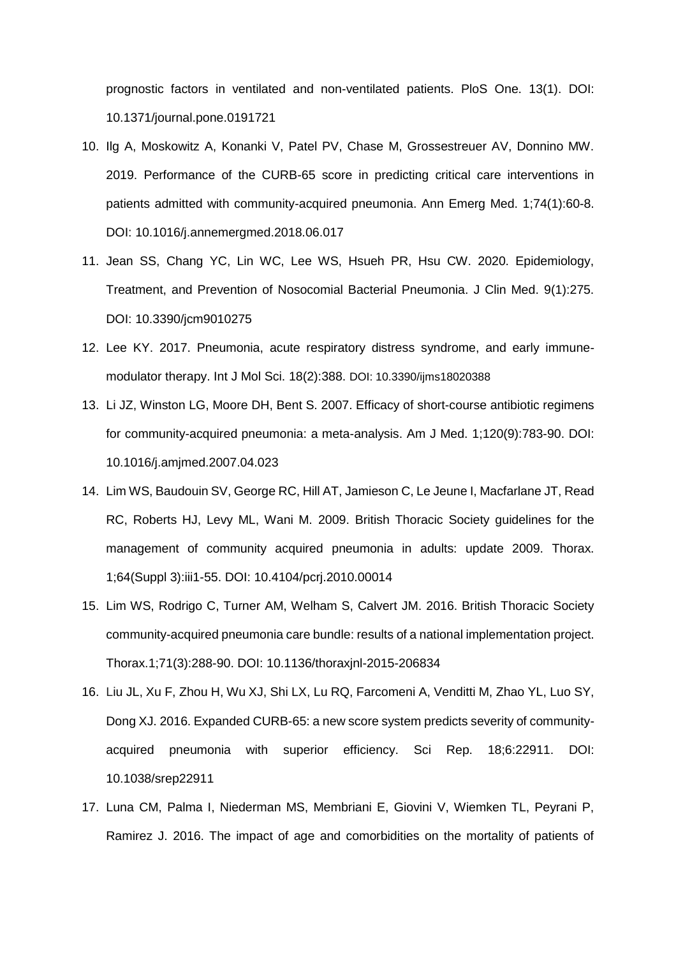prognostic factors in ventilated and non-ventilated patients. PloS One. 13(1). DOI: 10.1371/journal.pone.0191721

- 10. Ilg A, Moskowitz A, Konanki V, Patel PV, Chase M, Grossestreuer AV, Donnino MW. 2019. Performance of the CURB-65 score in predicting critical care interventions in patients admitted with community-acquired pneumonia. Ann Emerg Med. 1;74(1):60-8. DOI: 10.1016/j.annemergmed.2018.06.017
- 11. Jean SS, Chang YC, Lin WC, Lee WS, Hsueh PR, Hsu CW. 2020. Epidemiology, Treatment, and Prevention of Nosocomial Bacterial Pneumonia. J Clin Med. 9(1):275. DOI: 10.3390/jcm9010275
- 12. Lee KY. 2017. Pneumonia, acute respiratory distress syndrome, and early immunemodulator therapy. Int J Mol Sci. 18(2):388. DOI: 10.3390/ijms18020388
- 13. Li JZ, Winston LG, Moore DH, Bent S. 2007. Efficacy of short-course antibiotic regimens for community-acquired pneumonia: a meta-analysis. Am J Med. 1;120(9):783-90. DOI: 10.1016/j.amjmed.2007.04.023
- 14. Lim WS, Baudouin SV, George RC, Hill AT, Jamieson C, Le Jeune I, Macfarlane JT, Read RC, Roberts HJ, Levy ML, Wani M. 2009. British Thoracic Society guidelines for the management of community acquired pneumonia in adults: update 2009. Thorax. 1;64(Suppl 3):iii1-55. DOI: 10.4104/pcrj.2010.00014
- 15. Lim WS, Rodrigo C, Turner AM, Welham S, Calvert JM. 2016. British Thoracic Society community-acquired pneumonia care bundle: results of a national implementation project. Thorax.1;71(3):288-90. DOI: 10.1136/thoraxjnl-2015-206834
- 16. Liu JL, Xu F, Zhou H, Wu XJ, Shi LX, Lu RQ, Farcomeni A, Venditti M, Zhao YL, Luo SY, Dong XJ. 2016. Expanded CURB-65: a new score system predicts severity of communityacquired pneumonia with superior efficiency. Sci Rep. 18;6:22911. DOI: 10.1038/srep22911
- 17. Luna CM, Palma I, Niederman MS, Membriani E, Giovini V, Wiemken TL, Peyrani P, Ramirez J. 2016. The impact of age and comorbidities on the mortality of patients of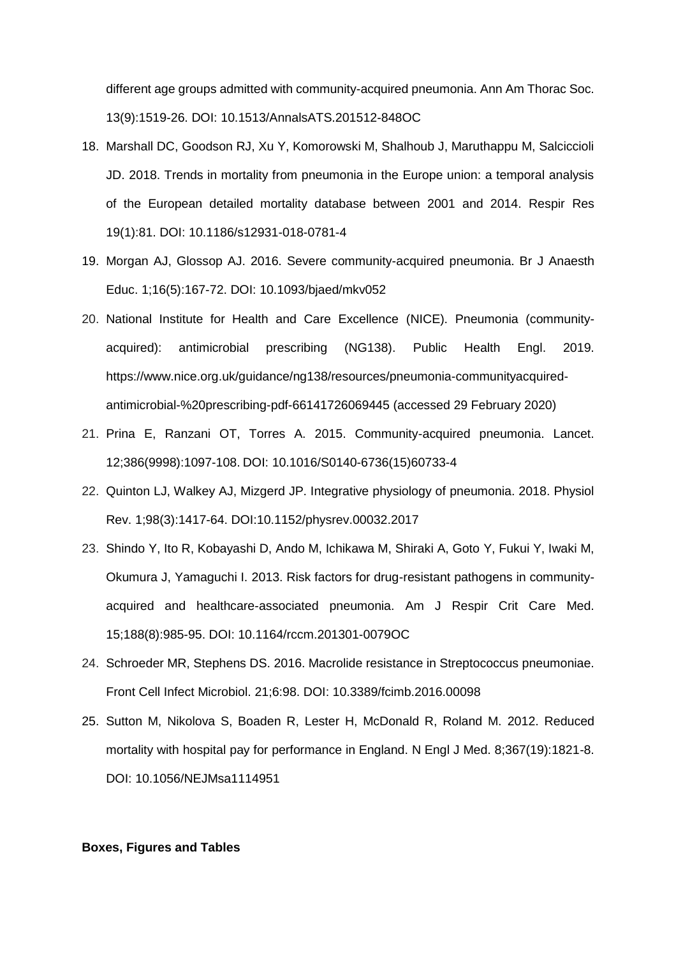different age groups admitted with community-acquired pneumonia. Ann Am Thorac Soc. 13(9):1519-26. DOI: 10.1513/AnnalsATS.201512-848OC

- 18. Marshall DC, Goodson RJ, Xu Y, Komorowski M, Shalhoub J, Maruthappu M, Salciccioli JD. 2018. Trends in mortality from pneumonia in the Europe union: a temporal analysis of the European detailed mortality database between 2001 and 2014. Respir Res 19(1):81. DOI: 10.1186/s12931-018-0781-4
- 19. Morgan AJ, Glossop AJ. 2016. Severe community-acquired pneumonia. Br J Anaesth Educ. 1;16(5):167-72. DOI: 10.1093/bjaed/mkv052
- 20. National Institute for Health and Care Excellence (NICE). Pneumonia (communityacquired): antimicrobial prescribing (NG138). Public Health Engl. 2019. https://www.nice.org.uk/guidance/ng138/resources/pneumonia-communityacquiredantimicrobial-%20prescribing-pdf-66141726069445 (accessed 29 February 2020)
- 21. Prina E, Ranzani OT, Torres A. 2015. Community-acquired pneumonia. Lancet. 12;386(9998):1097-108. DOI: 10.1016/S0140-6736(15)60733-4
- 22. Quinton LJ, Walkey AJ, Mizgerd JP. Integrative physiology of pneumonia. 2018. Physiol Rev. 1;98(3):1417-64. DOI:10.1152/physrev.00032.2017
- 23. Shindo Y, Ito R, Kobayashi D, Ando M, Ichikawa M, Shiraki A, Goto Y, Fukui Y, Iwaki M, Okumura J, Yamaguchi I. 2013. Risk factors for drug-resistant pathogens in communityacquired and healthcare-associated pneumonia. Am J Respir Crit Care Med. 15;188(8):985-95. DOI: 10.1164/rccm.201301-0079OC
- 24. Schroeder MR, Stephens DS. 2016. Macrolide resistance in Streptococcus pneumoniae. Front Cell Infect Microbiol. 21;6:98. DOI: 10.3389/fcimb.2016.00098
- 25. Sutton M, Nikolova S, Boaden R, Lester H, McDonald R, Roland M. 2012. Reduced mortality with hospital pay for performance in England. N Engl J Med. 8;367(19):1821-8. DOI: 10.1056/NEJMsa1114951

#### **Boxes, Figures and Tables**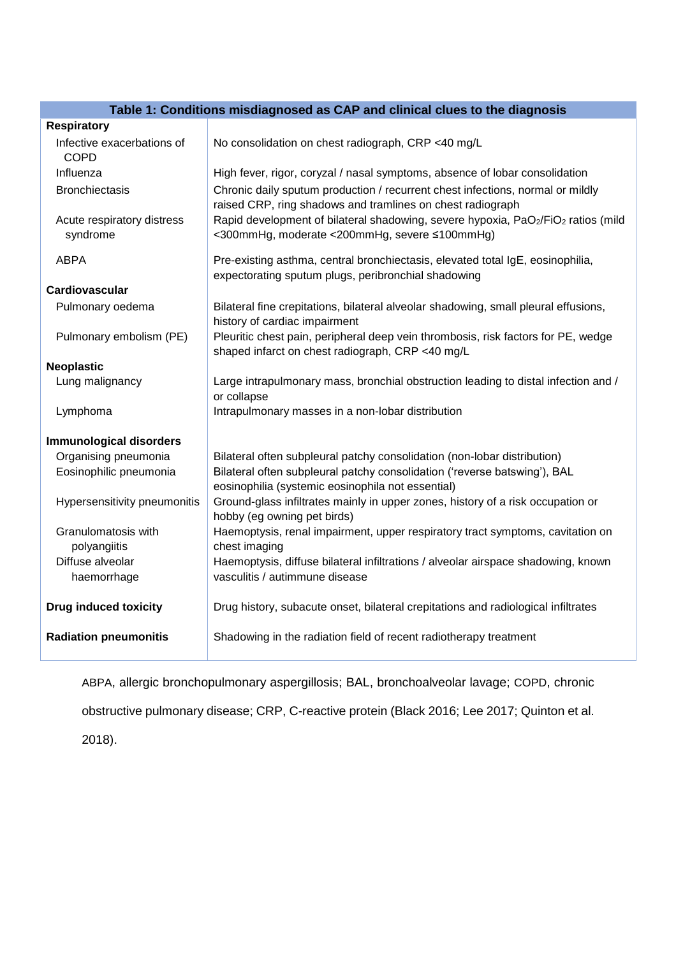| Table 1: Conditions misdiagnosed as CAP and clinical clues to the diagnosis |                                                                                                                                              |  |
|-----------------------------------------------------------------------------|----------------------------------------------------------------------------------------------------------------------------------------------|--|
| <b>Respiratory</b>                                                          |                                                                                                                                              |  |
| Infective exacerbations of<br><b>COPD</b>                                   | No consolidation on chest radiograph, CRP <40 mg/L                                                                                           |  |
| Influenza                                                                   | High fever, rigor, coryzal / nasal symptoms, absence of lobar consolidation                                                                  |  |
| <b>Bronchiectasis</b>                                                       | Chronic daily sputum production / recurrent chest infections, normal or mildly<br>raised CRP, ring shadows and tramlines on chest radiograph |  |
| Acute respiratory distress<br>syndrome                                      | Rapid development of bilateral shadowing, severe hypoxia, PaO2/FiO2 ratios (mild<br><300mmHg, moderate <200mmHg, severe ≤100mmHg)            |  |
| <b>ABPA</b>                                                                 | Pre-existing asthma, central bronchiectasis, elevated total IgE, eosinophilia,<br>expectorating sputum plugs, peribronchial shadowing        |  |
| Cardiovascular                                                              |                                                                                                                                              |  |
| Pulmonary oedema                                                            | Bilateral fine crepitations, bilateral alveolar shadowing, small pleural effusions,<br>history of cardiac impairment                         |  |
| Pulmonary embolism (PE)                                                     | Pleuritic chest pain, peripheral deep vein thrombosis, risk factors for PE, wedge<br>shaped infarct on chest radiograph, CRP <40 mg/L        |  |
| <b>Neoplastic</b>                                                           |                                                                                                                                              |  |
| Lung malignancy                                                             | Large intrapulmonary mass, bronchial obstruction leading to distal infection and /<br>or collapse                                            |  |
| Lymphoma                                                                    | Intrapulmonary masses in a non-lobar distribution                                                                                            |  |
| <b>Immunological disorders</b>                                              |                                                                                                                                              |  |
| Organising pneumonia                                                        | Bilateral often subpleural patchy consolidation (non-lobar distribution)                                                                     |  |
| Eosinophilic pneumonia                                                      | Bilateral often subpleural patchy consolidation ('reverse batswing'), BAL<br>eosinophilia (systemic eosinophila not essential)               |  |
| Hypersensitivity pneumonitis                                                | Ground-glass infiltrates mainly in upper zones, history of a risk occupation or<br>hobby (eg owning pet birds)                               |  |
| Granulomatosis with<br>polyangiitis                                         | Haemoptysis, renal impairment, upper respiratory tract symptoms, cavitation on<br>chest imaging                                              |  |
| Diffuse alveolar                                                            | Haemoptysis, diffuse bilateral infiltrations / alveolar airspace shadowing, known                                                            |  |
| haemorrhage                                                                 | vasculitis / autimmune disease                                                                                                               |  |
| <b>Drug induced toxicity</b>                                                | Drug history, subacute onset, bilateral crepitations and radiological infiltrates                                                            |  |
| <b>Radiation pneumonitis</b>                                                | Shadowing in the radiation field of recent radiotherapy treatment                                                                            |  |

ABPA, allergic bronchopulmonary aspergillosis; BAL, bronchoalveolar lavage; COPD, chronic

obstructive pulmonary disease; CRP, C-reactive protein (Black 2016; Lee 2017; Quinton et al.

2018).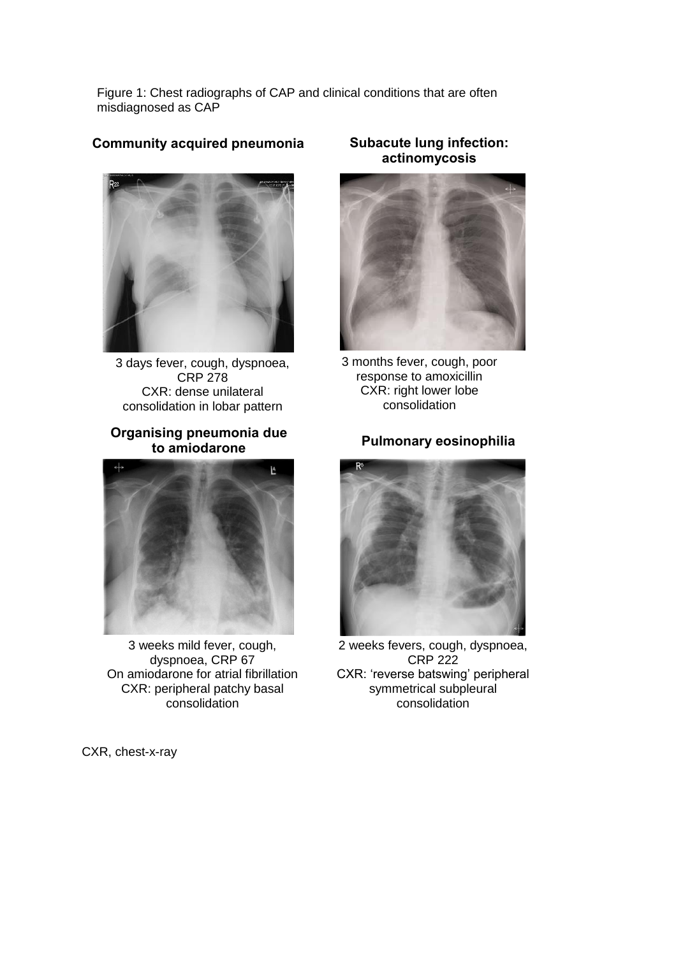Figure 1: Chest radiographs of CAP and clinical conditions that are often misdiagnosed as CAP

## **Community acquired pneumonia**



3 days fever, cough, dyspnoea, CRP 278 CXR: dense unilateral consolidation in lobar pattern

## **Organising pneumonia due to amiodarone**



3 weeks mild fever, cough, dyspnoea, CRP 67 On amiodarone for atrial fibrillation CXR: peripheral patchy basal consolidation

CXR, chest-x-ray

## **Subacute lung infection: actinomycosis**



3 months fever, cough, poor response to amoxicillin CXR: right lower lobe consolidation

## **Pulmonary eosinophilia**



2 weeks fevers, cough, dyspnoea, CRP 222 CXR: 'reverse batswing' peripheral symmetrical subpleural consolidation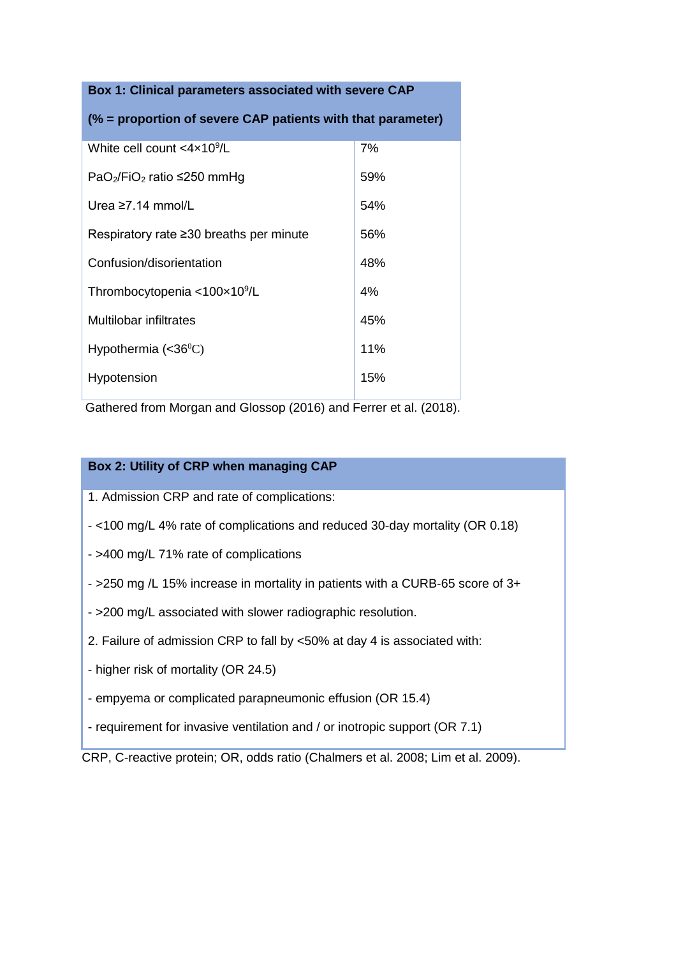# **Box 1: Clinical parameters associated with severe CAP (% = proportion of severe CAP patients with that parameter)** White cell count <4x10<sup>9</sup>/L /L 7% PaO $2$ /FiO $2$  ratio ≤250 mmHg 59% Urea ≥7.14 mmol/L  $\vert$  54% Respiratory rate ≥30 breaths per minute  $\vert$  56% Confusion/disorientation 48% Thrombocytopenia <100×10<sup>9</sup>/L 4% Multilobar infiltrates and the state of 45% Hypothermia  $( $36^{\circ}$ C)$  11% Hypotension 15%

Gathered from Morgan and Glossop (2016) and Ferrer et al. (2018).

## **Box 2: Utility of CRP when managing CAP**

- 1. Admission CRP and rate of complications:
- <100 mg/L 4% rate of complications and reduced 30-day mortality (OR 0.18)
- >400 mg/L 71% rate of complications
- >250 mg /L 15% increase in mortality in patients with a CURB-65 score of 3+
- >200 mg/L associated with slower radiographic resolution.
- 2. Failure of admission CRP to fall by <50% at day 4 is associated with:
- higher risk of mortality (OR 24.5)
- empyema or complicated parapneumonic effusion (OR 15.4)
- requirement for invasive ventilation and / or inotropic support (OR 7.1)

CRP, C-reactive protein; OR, odds ratio (Chalmers et al. 2008; Lim et al. 2009).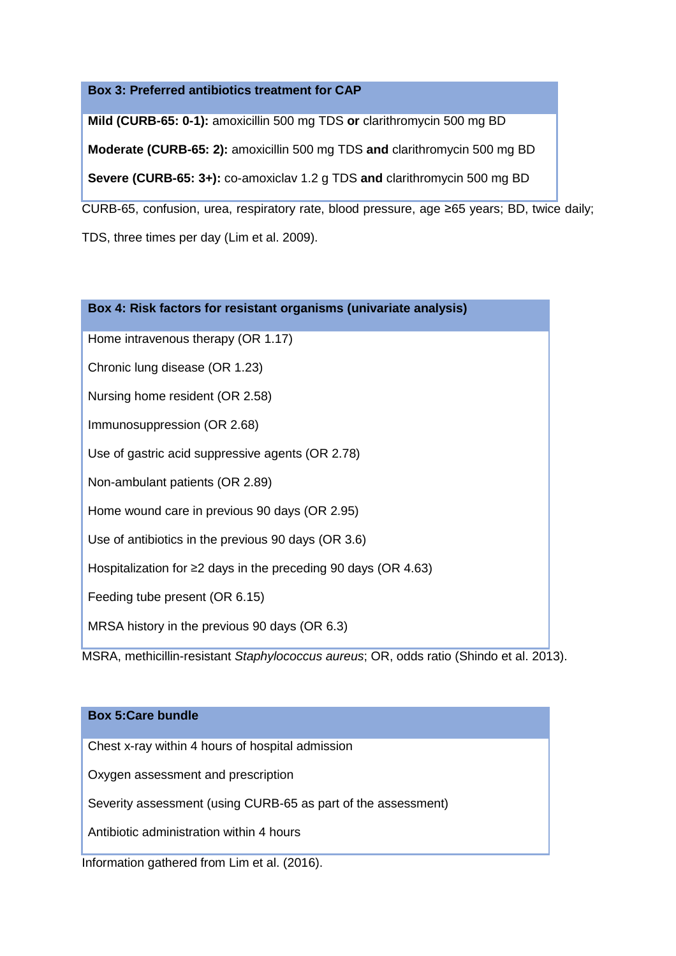## **Box 3: Preferred antibiotics treatment for CAP**

**Mild (CURB-65: 0-1):** amoxicillin 500 mg TDS **or** clarithromycin 500 mg BD

**Moderate (CURB-65: 2):** amoxicillin 500 mg TDS **and** clarithromycin 500 mg BD

**Severe (CURB-65: 3+):** co-amoxiclav 1.2 g TDS **and** clarithromycin 500 mg BD

CURB-65, confusion, urea, respiratory rate, blood pressure, age ≥65 years; BD, twice daily; TDS, three times per day (Lim et al. 2009).

| Box 4: Risk factors for resistant organisms (univariate analysis)                                                                                                                                                                               |
|-------------------------------------------------------------------------------------------------------------------------------------------------------------------------------------------------------------------------------------------------|
| Home intravenous therapy (OR 1.17)                                                                                                                                                                                                              |
| Chronic lung disease (OR 1.23)                                                                                                                                                                                                                  |
| Nursing home resident (OR 2.58)                                                                                                                                                                                                                 |
| Immunosuppression (OR 2.68)                                                                                                                                                                                                                     |
| Use of gastric acid suppressive agents (OR 2.78)                                                                                                                                                                                                |
| Non-ambulant patients (OR 2.89)                                                                                                                                                                                                                 |
| Home wound care in previous 90 days (OR 2.95)                                                                                                                                                                                                   |
| Use of antibiotics in the previous 90 days (OR 3.6)                                                                                                                                                                                             |
| Hospitalization for $\geq$ 2 days in the preceding 90 days (OR 4.63)                                                                                                                                                                            |
| Feeding tube present (OR 6.15)                                                                                                                                                                                                                  |
| MRSA history in the previous 90 days (OR 6.3)<br>a a dhitha 1115 anns a tha bha bha 120 An an London.<br>$\mathcal{A}$ and $\mathcal{A}$ and $\mathcal{A}$ and $\mathcal{A}$ and $\mathcal{A}$ and $\mathcal{A}$ and $\mathcal{A}$<br><b>^n</b> |

## MSRA, methicillin-resistant *Staphylococcus aureus*; OR, odds ratio (Shindo et al. 2013).

| <b>Box 5: Care bundle</b>                                     |
|---------------------------------------------------------------|
| Chest x-ray within 4 hours of hospital admission              |
| Oxygen assessment and prescription                            |
| Severity assessment (using CURB-65 as part of the assessment) |
| Antibiotic administration within 4 hours                      |
| Information gathered from Lim et al. (2016).                  |